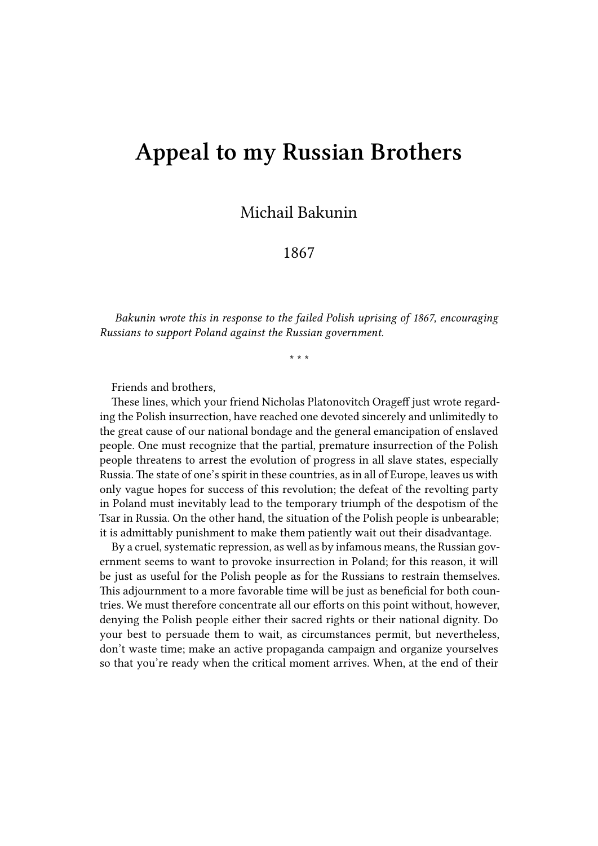## **Appeal to my Russian Brothers**

Michail Bakunin

1867

*Bakunin wrote this in response to the failed Polish uprising of 1867, encouraging Russians to support Poland against the Russian government.*

\* \* \*

Friends and brothers,

These lines, which your friend Nicholas Platonovitch Orageff just wrote regarding the Polish insurrection, have reached one devoted sincerely and unlimitedly to the great cause of our national bondage and the general emancipation of enslaved people. One must recognize that the partial, premature insurrection of the Polish people threatens to arrest the evolution of progress in all slave states, especially Russia. The state of one's spirit in these countries, as in all of Europe, leaves us with only vague hopes for success of this revolution; the defeat of the revolting party in Poland must inevitably lead to the temporary triumph of the despotism of the Tsar in Russia. On the other hand, the situation of the Polish people is unbearable; it is admittably punishment to make them patiently wait out their disadvantage.

By a cruel, systematic repression, as well as by infamous means, the Russian government seems to want to provoke insurrection in Poland; for this reason, it will be just as useful for the Polish people as for the Russians to restrain themselves. This adjournment to a more favorable time will be just as beneficial for both countries. We must therefore concentrate all our efforts on this point without, however, denying the Polish people either their sacred rights or their national dignity. Do your best to persuade them to wait, as circumstances permit, but nevertheless, don't waste time; make an active propaganda campaign and organize yourselves so that you're ready when the critical moment arrives. When, at the end of their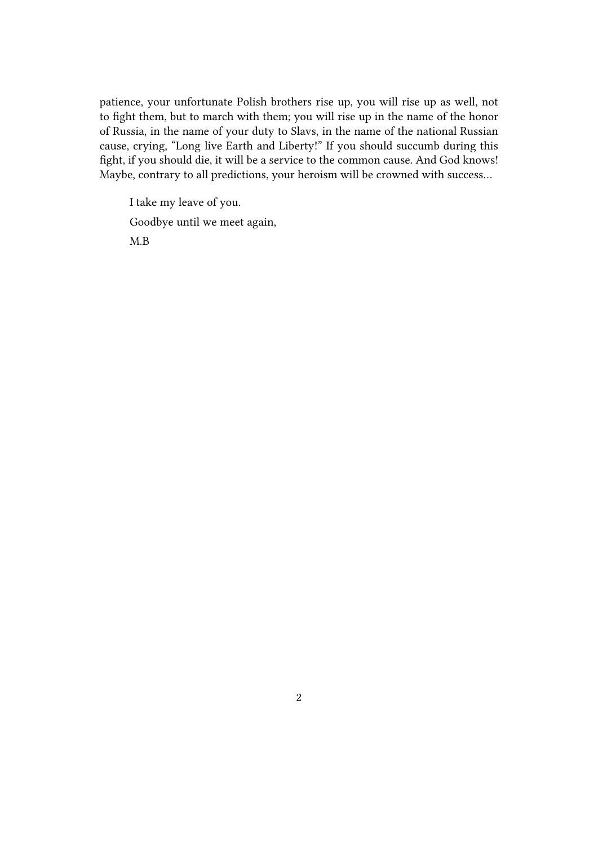patience, your unfortunate Polish brothers rise up, you will rise up as well, not to fight them, but to march with them; you will rise up in the name of the honor of Russia, in the name of your duty to Slavs, in the name of the national Russian cause, crying, "Long live Earth and Liberty!" If you should succumb during this fight, if you should die, it will be a service to the common cause. And God knows! Maybe, contrary to all predictions, your heroism will be crowned with success…

I take my leave of you. Goodbye until we meet again, M.B